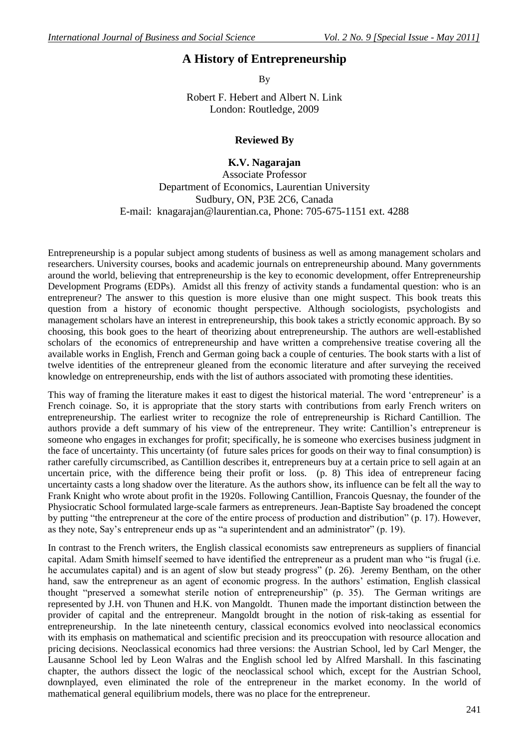## **A History of Entrepreneurship**

By

Robert F. Hebert and Albert N. Link London: Routledge, 2009

## **Reviewed By**

## **K.V. Nagarajan**

Associate Professor Department of Economics, Laurentian University Sudbury, ON, P3E 2C6, Canada E-mail: [knagarajan@laurentian.ca,](mailto:knagarajan@laurentian.ca) Phone: 705-675-1151 ext. 4288

Entrepreneurship is a popular subject among students of business as well as among management scholars and researchers. University courses, books and academic journals on entrepreneurship abound. Many governments around the world, believing that entrepreneurship is the key to economic development, offer Entrepreneurship Development Programs (EDPs). Amidst all this frenzy of activity stands a fundamental question: who is an entrepreneur? The answer to this question is more elusive than one might suspect. This book treats this question from a history of economic thought perspective. Although sociologists, psychologists and management scholars have an interest in entrepreneurship, this book takes a strictly economic approach. By so choosing, this book goes to the heart of theorizing about entrepreneurship. The authors are well-established scholars of the economics of entrepreneurship and have written a comprehensive treatise covering all the available works in English, French and German going back a couple of centuries. The book starts with a list of twelve identities of the entrepreneur gleaned from the economic literature and after surveying the received knowledge on entrepreneurship, ends with the list of authors associated with promoting these identities.

This way of framing the literature makes it east to digest the historical material. The word 'entrepreneur' is a French coinage. So, it is appropriate that the story starts with contributions from early French writers on entrepreneurship. The earliest writer to recognize the role of entrepreneurship is Richard Cantillion. The authors provide a deft summary of his view of the entrepreneur. They write: Cantillion"s entrepreneur is someone who engages in exchanges for profit; specifically, he is someone who exercises business judgment in the face of uncertainty. This uncertainty (of future sales prices for goods on their way to final consumption) is rather carefully circumscribed, as Cantillion describes it, entrepreneurs buy at a certain price to sell again at an uncertain price, with the difference being their profit or loss. (p. 8) This idea of entrepreneur facing uncertainty casts a long shadow over the literature. As the authors show, its influence can be felt all the way to Frank Knight who wrote about profit in the 1920s. Following Cantillion, Francois Quesnay, the founder of the Physiocratic School formulated large-scale farmers as entrepreneurs. Jean-Baptiste Say broadened the concept by putting "the entrepreneur at the core of the entire process of production and distribution" (p. 17). However, as they note, Say"s entrepreneur ends up as "a superintendent and an administrator" (p. 19).

In contrast to the French writers, the English classical economists saw entrepreneurs as suppliers of financial capital. Adam Smith himself seemed to have identified the entrepreneur as a prudent man who "is frugal (i.e. he accumulates capital) and is an agent of slow but steady progress" (p. 26). Jeremy Bentham, on the other hand, saw the entrepreneur as an agent of economic progress. In the authors' estimation, English classical thought "preserved a somewhat sterile notion of entrepreneurship" (p. 35). The German writings are represented by J.H. von Thunen and H.K. von Mangoldt. Thunen made the important distinction between the provider of capital and the entrepreneur. Mangoldt brought in the notion of risk-taking as essential for entrepreneurship. In the late nineteenth century, classical economics evolved into neoclassical economics with its emphasis on mathematical and scientific precision and its preoccupation with resource allocation and pricing decisions. Neoclassical economics had three versions: the Austrian School, led by Carl Menger, the Lausanne School led by Leon Walras and the English school led by Alfred Marshall. In this fascinating chapter, the authors dissect the logic of the neoclassical school which, except for the Austrian School, downplayed, even eliminated the role of the entrepreneur in the market economy. In the world of mathematical general equilibrium models, there was no place for the entrepreneur.